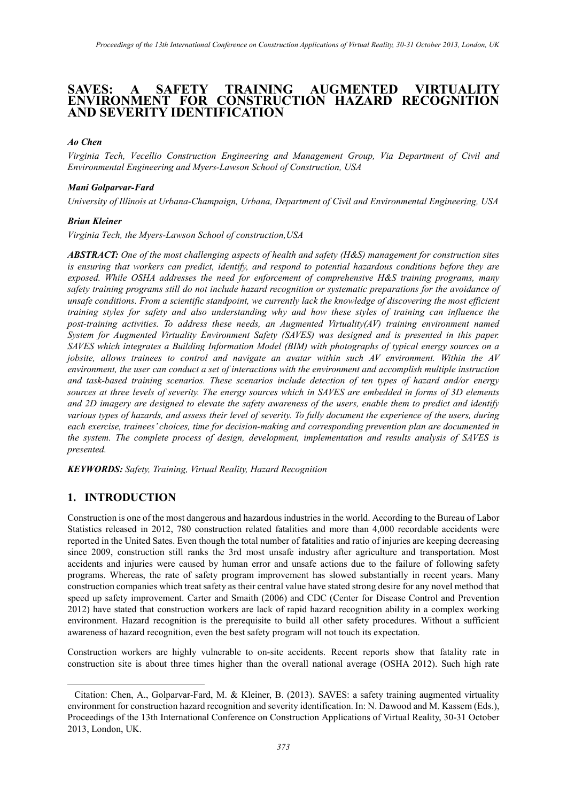### **SAVES: A SAFETY TRAINING AUGMENTED VIRTUALITY ENVIRONMENT FOR CONSTRUCTION HAZARD RECOGNITION AND SEVERITY IDENTIFICATION[1](#page-0-0)**

### *Ao Chen*

*Virginia Tech, Vecellio Construction Engineering and Management Group, Via Department of Civil and Environmental Engineering and Myers-Lawson School of Construction, USA* 

### *Mani Golparvar-Fard*

*University of Illinois at Urbana-Champaign, Urbana, Department of Civil and Environmental Engineering, USA*

### *Brian Kleiner*

*Virginia Tech, the Myers-Lawson School of construction,USA*

*ABSTRACT: One of the most challenging aspects of health and safety (H&S) management for construction sites is ensuring that workers can predict, identify, and respond to potential hazardous conditions before they are exposed. While OSHA addresses the need for enforcement of comprehensive H&S training programs, many safety training programs still do not include hazard recognition or systematic preparations for the avoidance of unsafe conditions. From a scientific standpoint, we currently lack the knowledge of discovering the most efficient training styles for safety and also understanding why and how these styles of training can influence the post-training activities. To address these needs, an Augmented Virtuality(AV) training environment named System for Augmented Virtuality Environment Safety (SAVES) was designed and is presented in this paper. SAVES which integrates a Building Information Model (BIM) with photographs of typical energy sources on a jobsite, allows trainees to control and navigate an avatar within such AV environment. Within the AV environment, the user can conduct a set of interactions with the environment and accomplish multiple instruction and task-based training scenarios. These scenarios include detection of ten types of hazard and/or energy sources at three levels of severity. The energy sources which in SAVES are embedded in forms of 3D elements and 2D imagery are designed to elevate the safety awareness of the users, enable them to predict and identify various types of hazards, and assess their level of severity. To fully document the experience of the users, during each exercise, trainees' choices, time for decision-making and corresponding prevention plan are documented in the system. The complete process of design, development, implementation and results analysis of SAVES is presented.*

*KEYWORDS: Safety, Training, Virtual Reality, Hazard Recognition*

## **1. INTRODUCTION**

-

Construction is one of the most dangerous and hazardous industries in the world. According to the Bureau of Labor Statistics released in 2012, 780 construction related fatalities and more than 4,000 recordable accidents were reported in the United Sates. Even though the total number of fatalities and ratio of injuries are keeping decreasing since 2009, construction still ranks the 3rd most unsafe industry after agriculture and transportation. Most accidents and injuries were caused by human error and unsafe actions due to the failure of following safety programs. Whereas, the rate of safety program improvement has slowed substantially in recent years. Many construction companies which treat safety as their central value have stated strong desire for any novel method that speed up safety improvement. Carter and Smaith (2006) and CDC (Center for Disease Control and Prevention 2012) have stated that construction workers are lack of rapid hazard recognition ability in a complex working environment. Hazard recognition is the prerequisite to build all other safety procedures. Without a sufficient awareness of hazard recognition, even the best safety program will not touch its expectation.

Construction workers are highly vulnerable to on-site accidents. Recent reports show that fatality rate in construction site is about three times higher than the overall national average (OSHA 2012). Such high rate

<span id="page-0-0"></span><sup>1</sup> Citation: Chen, A., Golparvar-Fard, M. & Kleiner, B. (2013). SAVES: a safety training augmented virtuality environment for construction hazard recognition and severity identification. In: N. Dawood and M. Kassem (Eds.), Proceedings of the 13th International Conference on Construction Applications of Virtual Reality, 30-31 October 2013, London, UK.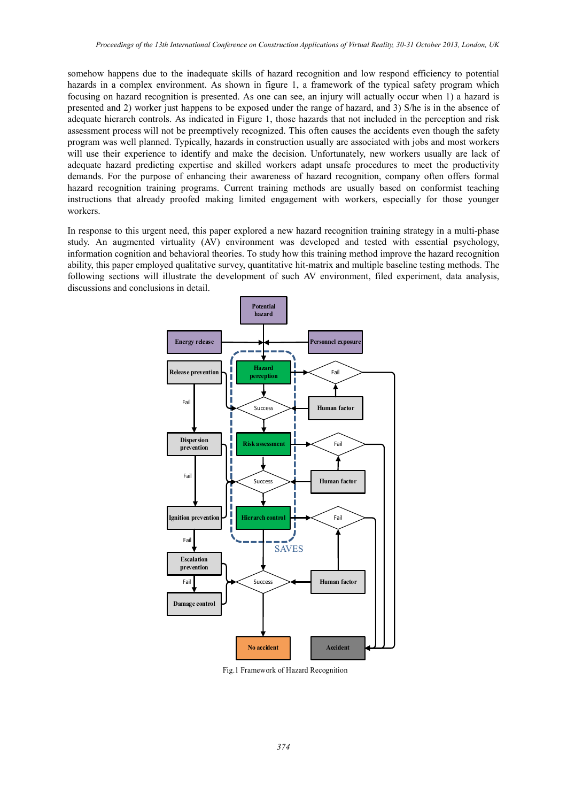somehow happens due to the inadequate skills of hazard recognition and low respond efficiency to potential hazards in a complex environment. As shown in figure 1, a framework of the typical safety program which focusing on hazard recognition is presented. As one can see, an injury will actually occur when 1) a hazard is presented and 2) worker just happens to be exposed under the range of hazard, and 3) S/he is in the absence of adequate hierarch controls. As indicated in Figure 1, those hazards that not included in the perception and risk assessment process will not be preemptively recognized. This often causes the accidents even though the safety program was well planned. Typically, hazards in construction usually are associated with jobs and most workers will use their experience to identify and make the decision. Unfortunately, new workers usually are lack of adequate hazard predicting expertise and skilled workers adapt unsafe procedures to meet the productivity demands. For the purpose of enhancing their awareness of hazard recognition, company often offers formal hazard recognition training programs. Current training methods are usually based on conformist teaching instructions that already proofed making limited engagement with workers, especially for those younger workers.

In response to this urgent need, this paper explored a new hazard recognition training strategy in a multi-phase study. An augmented virtuality (AV) environment was developed and tested with essential psychology, information cognition and behavioral theories. To study how this training method improve the hazard recognition ability, this paper employed qualitative survey, quantitative hit-matrix and multiple baseline testing methods. The following sections will illustrate the development of such AV environment, filed experiment, data analysis, discussions and conclusions in detail.



Fig.1 Framework of Hazard Recognition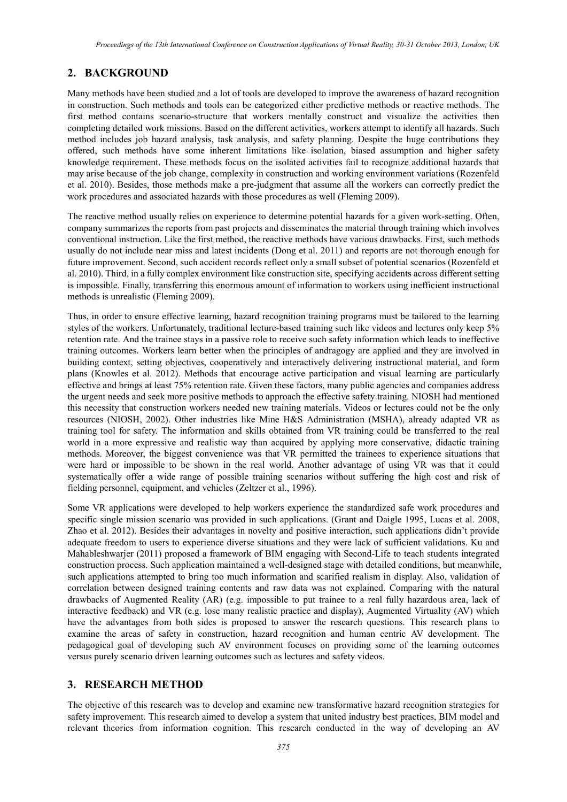### **2. BACKGROUND**

Many methods have been studied and a lot of tools are developed to improve the awareness of hazard recognition in construction. Such methods and tools can be categorized either predictive methods or reactive methods. The first method contains scenario-structure that workers mentally construct and visualize the activities then completing detailed work missions. Based on the different activities, workers attempt to identify all hazards. Such method includes job hazard analysis, task analysis, and safety planning. Despite the huge contributions they offered, such methods have some inherent limitations like isolation, biased assumption and higher safety knowledge requirement. These methods focus on the isolated activities fail to recognize additional hazards that may arise because of the job change, complexity in construction and working environment variations (Rozenfeld et al. 2010). Besides, those methods make a pre-judgment that assume all the workers can correctly predict the work procedures and associated hazards with those procedures as well (Fleming 2009).

The reactive method usually relies on experience to determine potential hazards for a given work-setting. Often, company summarizes the reports from past projects and disseminates the material through training which involves conventional instruction. Like the first method, the reactive methods have various drawbacks. First, such methods usually do not include near miss and latest incidents (Dong et al. 2011) and reports are not thorough enough for future improvement. Second, such accident records reflect only a small subset of potential scenarios (Rozenfeld et al. 2010). Third, in a fully complex environment like construction site, specifying accidents across different setting is impossible. Finally, transferring this enormous amount of information to workers using inefficient instructional methods is unrealistic (Fleming 2009).

Thus, in order to ensure effective learning, hazard recognition training programs must be tailored to the learning styles of the workers. Unfortunately, traditional lecture-based training such like videos and lectures only keep 5% retention rate. And the trainee stays in a passive role to receive such safety information which leads to ineffective training outcomes. Workers learn better when the principles of andragogy are applied and they are involved in building context, setting objectives, cooperatively and interactively delivering instructional material, and form plans (Knowles et al. 2012). Methods that encourage active participation and visual learning are particularly effective and brings at least 75% retention rate. Given these factors, many public agencies and companies address the urgent needs and seek more positive methods to approach the effective safety training. NIOSH had mentioned this necessity that construction workers needed new training materials. Videos or lectures could not be the only resources (NIOSH, 2002). Other industries like Mine H&S Administration (MSHA), already adapted VR as training tool for safety. The information and skills obtained from VR training could be transferred to the real world in a more expressive and realistic way than acquired by applying more conservative, didactic training methods. Moreover, the biggest convenience was that VR permitted the trainees to experience situations that were hard or impossible to be shown in the real world. Another advantage of using VR was that it could systematically offer a wide range of possible training scenarios without suffering the high cost and risk of fielding personnel, equipment, and vehicles (Zeltzer et al., 1996).

Some VR applications were developed to help workers experience the standardized safe work procedures and specific single mission scenario was provided in such applications. (Grant and Daigle 1995, Lucas et al. 2008, Zhao et al. 2012). Besides their advantages in novelty and positive interaction, such applications didn't provide adequate freedom to users to experience diverse situations and they were lack of sufficient validations. Ku and Mahableshwarjer (2011) proposed a framework of BIM engaging with Second-Life to teach students integrated construction process. Such application maintained a well-designed stage with detailed conditions, but meanwhile, such applications attempted to bring too much information and scarified realism in display. Also, validation of correlation between designed training contents and raw data was not explained. Comparing with the natural drawbacks of Augmented Reality (AR) (e.g. impossible to put trainee to a real fully hazardous area, lack of interactive feedback) and VR (e.g. lose many realistic practice and display), Augmented Virtuality (AV) which have the advantages from both sides is proposed to answer the research questions. This research plans to examine the areas of safety in construction, hazard recognition and human centric AV development. The pedagogical goal of developing such AV environment focuses on providing some of the learning outcomes versus purely scenario driven learning outcomes such as lectures and safety videos.

### **3. RESEARCH METHOD**

The objective of this research was to develop and examine new transformative hazard recognition strategies for safety improvement. This research aimed to develop a system that united industry best practices, BIM model and relevant theories from information cognition. This research conducted in the way of developing an AV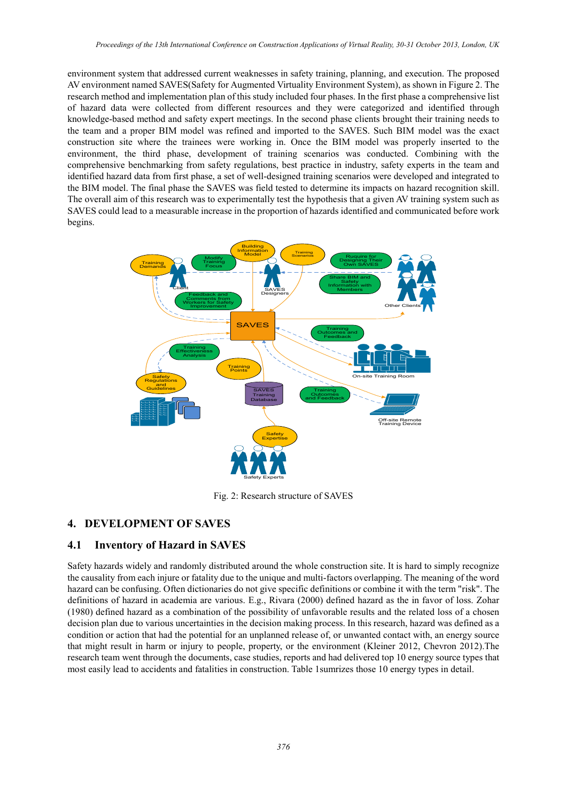environment system that addressed current weaknesses in safety training, planning, and execution. The proposed AV environment named SAVES(Safety for Augmented Virtuality Environment System), as shown in Figure 2. The research method and implementation plan of this study included four phases. In the first phase a comprehensive list of hazard data were collected from different resources and they were categorized and identified through knowledge-based method and safety expert meetings. In the second phase clients brought their training needs to the team and a proper BIM model was refined and imported to the SAVES. Such BIM model was the exact construction site where the trainees were working in. Once the BIM model was properly inserted to the environment, the third phase, development of training scenarios was conducted. Combining with the comprehensive benchmarking from safety regulations, best practice in industry, safety experts in the team and identified hazard data from first phase, a set of well-designed training scenarios were developed and integrated to the BIM model. The final phase the SAVES was field tested to determine its impacts on hazard recognition skill. The overall aim of this research was to experimentally test the hypothesis that a given AV training system such as SAVES could lead to a measurable increase in the proportion of hazards identified and communicated before work begins.



Fig. 2: Research structure of SAVES

## **4. DEVELOPMENT OF SAVES**

## **4.1 Inventory of Hazard in SAVES**

Safety hazards widely and randomly distributed around the whole construction site. It is hard to simply recognize the causality from each injure or fatality due to the unique and multi-factors overlapping. The meaning of the word hazard can be confusing. Often dictionaries do not give specific definitions or combine it with the term "risk". The definitions of hazard in academia are various. E.g., Rivara (2000) defined hazard as the in favor of loss. Zohar (1980) defined hazard as a combination of the possibility of unfavorable results and the related loss of a chosen decision plan due to various uncertainties in the decision making process. In this research, hazard was defined as a condition or action that had the potential for an unplanned release of, or unwanted contact with, an energy source that might result in harm or injury to people, property, or the environment (Kleiner 2012, Chevron 2012).The research team went through the documents, case studies, reports and had delivered top 10 energy source types that most easily lead to accidents and fatalities in construction. Table 1sumrizes those 10 energy types in detail.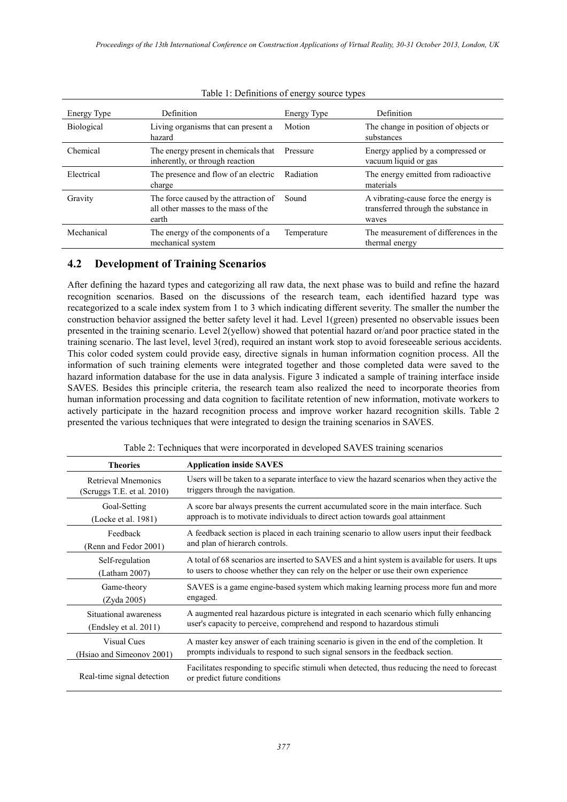| Energy Type       | Definition                                                                            | Energy Type | Definition                                                                             |
|-------------------|---------------------------------------------------------------------------------------|-------------|----------------------------------------------------------------------------------------|
| <b>Biological</b> | Living organisms that can present a<br>hazard                                         | Motion      | The change in position of objects or<br>substances                                     |
| Chemical          | The energy present in chemicals that<br>inherently, or through reaction               | Pressure    | Energy applied by a compressed or<br>vacuum liquid or gas                              |
| Electrical        | The presence and flow of an electric<br>charge                                        | Radiation   | The energy emitted from radioactive<br>materials                                       |
| Gravity           | The force caused by the attraction of<br>all other masses to the mass of the<br>earth | Sound       | A vibrating-cause force the energy is<br>transferred through the substance in<br>waves |
| Mechanical        | The energy of the components of a<br>mechanical system                                | Temperature | The measurement of differences in the<br>thermal energy                                |

#### Table 1: Definitions of energy source types

## **4.2 Development of Training Scenarios**

After defining the hazard types and categorizing all raw data, the next phase was to build and refine the hazard recognition scenarios. Based on the discussions of the research team, each identified hazard type was recategorized to a scale index system from 1 to 3 which indicating different severity. The smaller the number the construction behavior assigned the better safety level it had. Level 1(green) presented no observable issues been presented in the training scenario. Level 2(yellow) showed that potential hazard or/and poor practice stated in the training scenario. The last level, level 3(red), required an instant work stop to avoid foreseeable serious accidents. This color coded system could provide easy, directive signals in human information cognition process. All the information of such training elements were integrated together and those completed data were saved to the hazard information database for the use in data analysis. Figure 3 indicated a sample of training interface inside SAVES. Besides this principle criteria, the research team also realized the need to incorporate theories from human information processing and data cognition to facilitate retention of new information, motivate workers to actively participate in the hazard recognition process and improve worker hazard recognition skills. Table 2 presented the various techniques that were integrated to design the training scenarios in SAVES.

Table 2: Techniques that were incorporated in developed SAVES training scenarios

| <b>Theories</b>               | <b>Application inside SAVES</b>                                                                                              |
|-------------------------------|------------------------------------------------------------------------------------------------------------------------------|
| Retrieval Mnemonics           | Users will be taken to a separate interface to view the hazard scenarios when they active the                                |
| (Scruggs T.E. et al. $2010$ ) | triggers through the navigation.                                                                                             |
| Goal-Setting                  | A score bar always presents the current accumulated score in the main interface. Such                                        |
| (Locke et al. 1981)           | approach is to motivate individuals to direct action towards goal attainment                                                 |
| Feedback                      | A feedback section is placed in each training scenario to allow users input their feedback                                   |
| (Renn and Fedor 2001)         | and plan of hierarch controls.                                                                                               |
| Self-regulation               | A total of 68 scenarios are inserted to SAVES and a hint system is available for users. It ups                               |
| (Latham 2007)                 | to users to choose whether they can rely on the helper or use their own experience                                           |
| Game-theory                   | SAVES is a game engine-based system which making learning process more fun and more                                          |
| (Zyda 2005)                   | engaged.                                                                                                                     |
| Situational awareness         | A augmented real hazardous picture is integrated in each scenario which fully enhancing                                      |
| (Endsley et al. 2011)         | user's capacity to perceive, comprehend and respond to hazardous stimuli                                                     |
| Visual Cues                   | A master key answer of each training scenario is given in the end of the completion. It                                      |
| (Hsiao and Simeonov 2001)     | prompts individuals to respond to such signal sensors in the feedback section.                                               |
| Real-time signal detection    | Facilitates responding to specific stimuli when detected, thus reducing the need to forecast<br>or predict future conditions |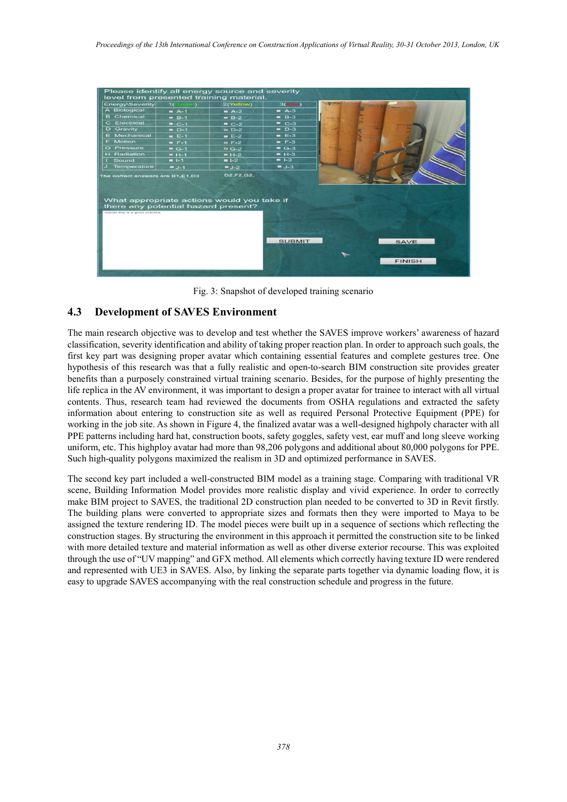| Please identify all energy source and severity<br>level from presented training material.                            |             |             |                    |               |  |
|----------------------------------------------------------------------------------------------------------------------|-------------|-------------|--------------------|---------------|--|
| Energy\Severity                                                                                                      | $1$ (Green) | 2(Yellow)   | 3(Red)             |               |  |
| A Biological                                                                                                         | $= A-1$     | $= A-2$     | $A-3$              |               |  |
| <b>B</b> Chemical                                                                                                    | $B - 1$     | $B-2$       | $B - B - 3$        |               |  |
| <b>C</b> Electrical                                                                                                  | $C-1$       | $C-2$       | $C-3$              |               |  |
| D Gravity                                                                                                            | $D-1$       | $D-2$       | $\blacksquare$ D-3 |               |  |
| <b>E</b> Mechanical                                                                                                  | $E - 1$     | $E - 2$     | $E-3$              |               |  |
| <b>F</b> Motion                                                                                                      | $F-1$       | $E = F - 2$ | $F-3$              |               |  |
| <b>G</b> Pressure                                                                                                    | $G-1$       | $G - 2$     | $= G-3$            |               |  |
| <b>H</b> Radiation                                                                                                   | $H - 1$     | $H - 2$     | $H - 3$            |               |  |
| I Sound                                                                                                              | $= 1 - 1$   | $= 1-2$     | $-1-3$             |               |  |
| J Temperature                                                                                                        | $-1-1$      | $-J-2$      | $\blacksquare$ J-3 |               |  |
| What appropriate actions would you take if<br>there any potential hazard present?<br>overall this is a good practice |             |             | <b>SUBMIT</b>      | <b>SAVE</b>   |  |
|                                                                                                                      |             |             |                    | <b>FINISH</b> |  |

Fig. 3: Snapshot of developed training scenario

## **4.3 Development of SAVES Environment**

The main research objective was to develop and test whether the SAVES improve workers' awareness of hazard classification, severity identification and ability of taking proper reaction plan. In order to approach such goals, the first key part was designing proper avatar which containing essential features and complete gestures tree. One hypothesis of this research was that a fully realistic and open-to-search BIM construction site provides greater benefits than a purposely constrained virtual training scenario. Besides, for the purpose of highly presenting the life replica in the AV environment, it was important to design a proper avatar for trainee to interact with all virtual contents. Thus, research team had reviewed the documents from OSHA regulations and extracted the safety information about entering to construction site as well as required Personal Protective Equipment (PPE) for working in the job site. As shown in Figure 4, the finalized avatar was a well-designed highpoly character with all PPE patterns including hard hat, construction boots, safety goggles, safety vest, ear muff and long sleeve working uniform, etc. This highploy avatar had more than 98,206 polygons and additional about 80,000 polygons for PPE. Such high-quality polygons maximized the realism in 3D and optimized performance in SAVES.

The second key part included a well-constructed BIM model as a training stage. Comparing with traditional VR scene, Building Information Model provides more realistic display and vivid experience. In order to correctly make BIM project to SAVES, the traditional 2D construction plan needed to be converted to 3D in Revit firstly. The building plans were converted to appropriate sizes and formats then they were imported to Maya to be assigned the texture rendering ID. The model pieces were built up in a sequence of sections which reflecting the construction stages. By structuring the environment in this approach it permitted the construction site to be linked with more detailed texture and material information as well as other diverse exterior recourse. This was exploited through the use of "UV mapping" and GFX method. All elements which correctly having texture ID were rendered and represented with UE3 in SAVES. Also, by linking the separate parts together via dynamic loading flow, it is easy to upgrade SAVES accompanying with the real construction schedule and progress in the future.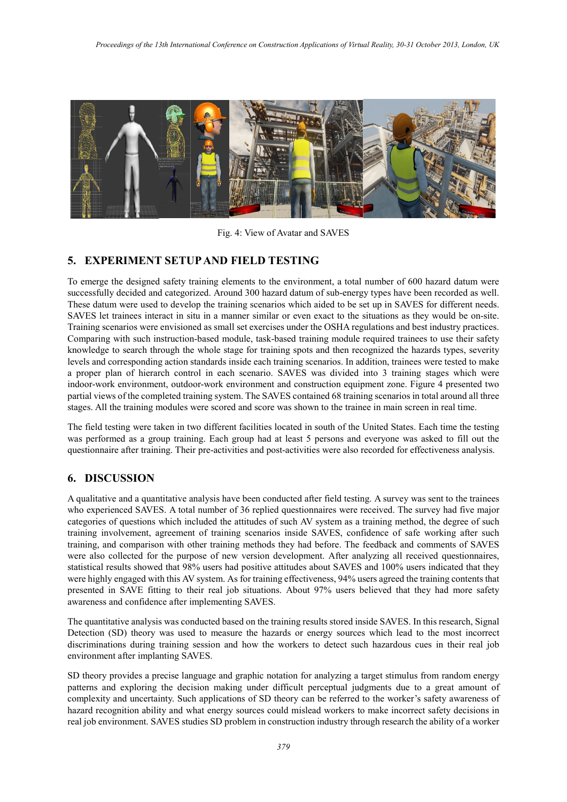

Fig. 4: View of Avatar and SAVES

# **5. EXPERIMENT SETUP AND FIELD TESTING**

To emerge the designed safety training elements to the environment, a total number of 600 hazard datum were successfully decided and categorized. Around 300 hazard datum of sub-energy types have been recorded as well. These datum were used to develop the training scenarios which aided to be set up in SAVES for different needs. SAVES let trainees interact in situ in a manner similar or even exact to the situations as they would be on-site. Training scenarios were envisioned as small set exercises under the OSHA regulations and best industry practices. Comparing with such instruction-based module, task-based training module required trainees to use their safety knowledge to search through the whole stage for training spots and then recognized the hazards types, severity levels and corresponding action standards inside each training scenarios. In addition, trainees were tested to make a proper plan of hierarch control in each scenario. SAVES was divided into 3 training stages which were indoor-work environment, outdoor-work environment and construction equipment zone. Figure 4 presented two partial views of the completed training system. The SAVES contained 68 training scenarios in total around all three stages. All the training modules were scored and score was shown to the trainee in main screen in real time.

The field testing were taken in two different facilities located in south of the United States. Each time the testing was performed as a group training. Each group had at least 5 persons and everyone was asked to fill out the questionnaire after training. Their pre-activities and post-activities were also recorded for effectiveness analysis.

## **6. DISCUSSION**

A qualitative and a quantitative analysis have been conducted after field testing. A survey was sent to the trainees who experienced SAVES. A total number of 36 replied questionnaires were received. The survey had five major categories of questions which included the attitudes of such AV system as a training method, the degree of such training involvement, agreement of training scenarios inside SAVES, confidence of safe working after such training, and comparison with other training methods they had before. The feedback and comments of SAVES were also collected for the purpose of new version development. After analyzing all received questionnaires, statistical results showed that 98% users had positive attitudes about SAVES and 100% users indicated that they were highly engaged with this AV system. As for training effectiveness, 94% users agreed the training contents that presented in SAVE fitting to their real job situations. About 97% users believed that they had more safety awareness and confidence after implementing SAVES.

The quantitative analysis was conducted based on the training results stored inside SAVES. In this research, Signal Detection (SD) theory was used to measure the hazards or energy sources which lead to the most incorrect discriminations during training session and how the workers to detect such hazardous cues in their real job environment after implanting SAVES.

SD theory provides a precise language and graphic notation for analyzing a target stimulus from random energy patterns and exploring the decision making under difficult perceptual judgments due to a great amount of complexity and uncertainty. Such applications of SD theory can be referred to the worker's safety awareness of hazard recognition ability and what energy sources could mislead workers to make incorrect safety decisions in real job environment. SAVES studies SD problem in construction industry through research the ability of a worker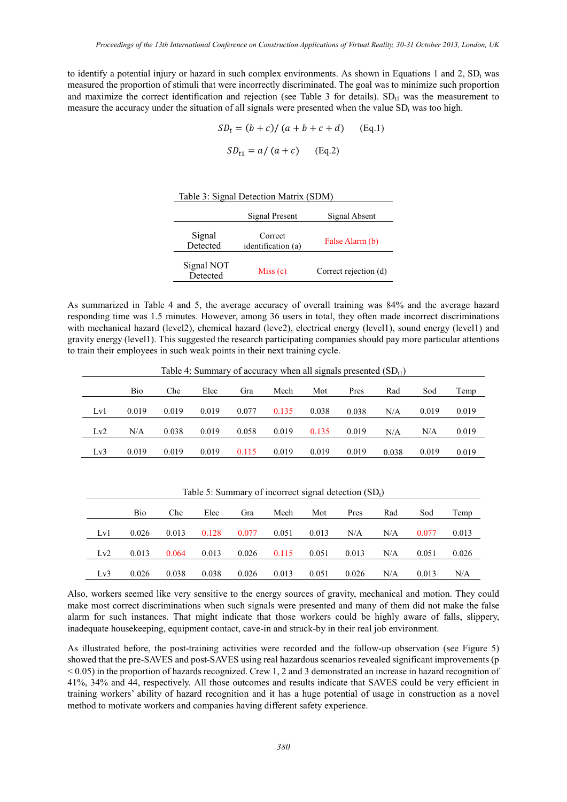to identify a potential injury or hazard in such complex environments. As shown in Equations 1 and 2,  $SD<sub>t</sub>$  was measured the proportion of stimuli that were incorrectly discriminated. The goal was to minimize such proportion and maximize the correct identification and rejection (see Table 3 for details).  $SD<sub>11</sub>$  was the measurement to measure the accuracy under the situation of all signals were presented when the value  $SD<sub>t</sub>$  was too high.

$$
SD_{t} = (b + c)/(a + b + c + d)
$$
 (Eq.1)  

$$
SD_{t1} = a/(a + c)
$$
 (Eq.2)

Table 3: Signal Detection Matrix (SDM)

|                        | Signal Present                | Signal Absent         |  |  |
|------------------------|-------------------------------|-----------------------|--|--|
| Signal<br>Detected     | Correct<br>identification (a) | False Alarm (b)       |  |  |
| Signal NOT<br>Detected | Miss(c)                       | Correct rejection (d) |  |  |

As summarized in Table 4 and 5, the average accuracy of overall training was 84% and the average hazard responding time was 1.5 minutes. However, among 36 users in total, they often made incorrect discriminations with mechanical hazard (level2), chemical hazard (leve2), electrical energy (level1), sound energy (level1) and gravity energy (level1). This suggested the research participating companies should pay more particular attentions to train their employees in such weak points in their next training cycle.

Table 4: Summary of accuracy when all signals presented  $(SD_{t1})$ 

|     | Bio   | Che   | Elec  | Gra   | Mech  | Mot   | Pres  | Rad   | Sod   | Temp  |
|-----|-------|-------|-------|-------|-------|-------|-------|-------|-------|-------|
| Lv1 | 0.019 | 0.019 | 0.019 | 0.077 | 0.135 | 0.038 | 0.038 | N/A   | 0.019 | 0.019 |
| Lv2 | N/A   | 0.038 | 0.019 | 0.058 | 0.019 | 0.135 | 0.019 | N/A   | N/A   | 0.019 |
| Lv3 | 0.019 | 0.019 | 0.019 | 0.115 | 0.019 | 0.019 | 0.019 | 0.038 | 0.019 | 0.019 |

|     | Bio   | Che   | Elec  | Gra   | Mech  | Mot   | Pres  | Rad | Sod   | Temp  |
|-----|-------|-------|-------|-------|-------|-------|-------|-----|-------|-------|
| Lv1 | 0.026 | 0.013 | 0.128 | 0.077 | 0.051 | 0.013 | N/A   | N/A | 0.077 | 0.013 |
| Lv2 | 0.013 | 0.064 | 0.013 | 0.026 | 0.115 | 0.051 | 0.013 | N/A | 0.051 | 0.026 |
| Lv3 | 0.026 | 0.038 | 0.038 | 0.026 | 0.013 | 0.051 | 0.026 | N/A | 0.013 | N/A   |

Table 5: Summary of incorrect signal detection  $(SD_t)$ 

Also, workers seemed like very sensitive to the energy sources of gravity, mechanical and motion. They could make most correct discriminations when such signals were presented and many of them did not make the false alarm for such instances. That might indicate that those workers could be highly aware of falls, slippery, inadequate housekeeping, equipment contact, cave-in and struck-by in their real job environment.

As illustrated before, the post-training activities were recorded and the follow-up observation (see Figure 5) showed that the pre-SAVES and post-SAVES using real hazardous scenarios revealed significant improvements (p < 0.05) in the proportion of hazards recognized. Crew 1, 2 and 3 demonstrated an increase in hazard recognition of 41%, 34% and 44, respectively. All those outcomes and results indicate that SAVES could be very efficient in training workers' ability of hazard recognition and it has a huge potential of usage in construction as a novel method to motivate workers and companies having different safety experience.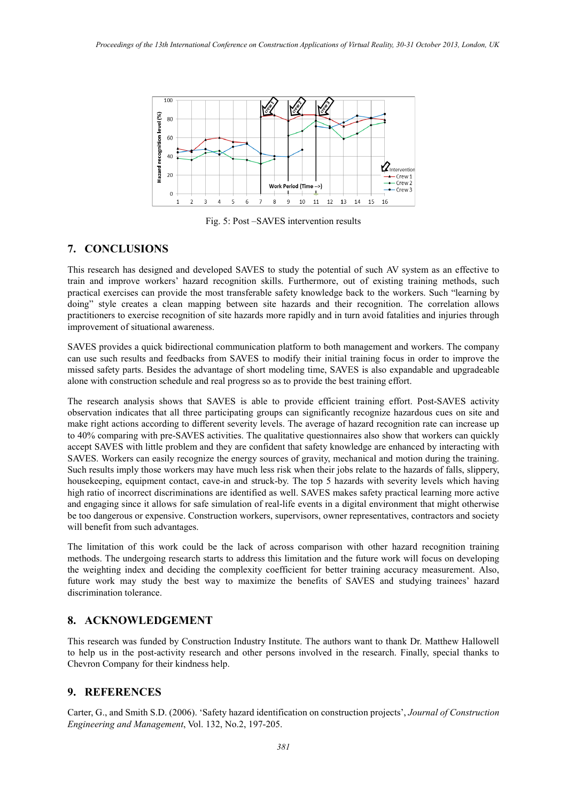

Fig. 5: Post –SAVES intervention results

# **7. CONCLUSIONS**

This research has designed and developed SAVES to study the potential of such AV system as an effective to train and improve workers' hazard recognition skills. Furthermore, out of existing training methods, such practical exercises can provide the most transferable safety knowledge back to the workers. Such "learning by doing" style creates a clean mapping between site hazards and their recognition. The correlation allows practitioners to exercise recognition of site hazards more rapidly and in turn avoid fatalities and injuries through improvement of situational awareness.

SAVES provides a quick bidirectional communication platform to both management and workers. The company can use such results and feedbacks from SAVES to modify their initial training focus in order to improve the missed safety parts. Besides the advantage of short modeling time, SAVES is also expandable and upgradeable alone with construction schedule and real progress so as to provide the best training effort.

The research analysis shows that SAVES is able to provide efficient training effort. Post-SAVES activity observation indicates that all three participating groups can significantly recognize hazardous cues on site and make right actions according to different severity levels. The average of hazard recognition rate can increase up to 40% comparing with pre-SAVES activities. The qualitative questionnaires also show that workers can quickly accept SAVES with little problem and they are confident that safety knowledge are enhanced by interacting with SAVES. Workers can easily recognize the energy sources of gravity, mechanical and motion during the training. Such results imply those workers may have much less risk when their jobs relate to the hazards of falls, slippery, housekeeping, equipment contact, cave-in and struck-by. The top 5 hazards with severity levels which having high ratio of incorrect discriminations are identified as well. SAVES makes safety practical learning more active and engaging since it allows for safe simulation of real-life events in a digital environment that might otherwise be too dangerous or expensive. Construction workers, supervisors, owner representatives, contractors and society will benefit from such advantages.

The limitation of this work could be the lack of across comparison with other hazard recognition training methods. The undergoing research starts to address this limitation and the future work will focus on developing the weighting index and deciding the complexity coefficient for better training accuracy measurement. Also, future work may study the best way to maximize the benefits of SAVES and studying trainees' hazard discrimination tolerance.

## **8. ACKNOWLEDGEMENT**

This research was funded by Construction Industry Institute. The authors want to thank Dr. Matthew Hallowell to help us in the post-activity research and other persons involved in the research. Finally, special thanks to Chevron Company for their kindness help.

## **9. REFERENCES**

Carter, G., and Smith S.D. (2006). 'Safety hazard identification on construction projects', *Journal of Construction Engineering and Management*, Vol. 132, No.2, 197-205.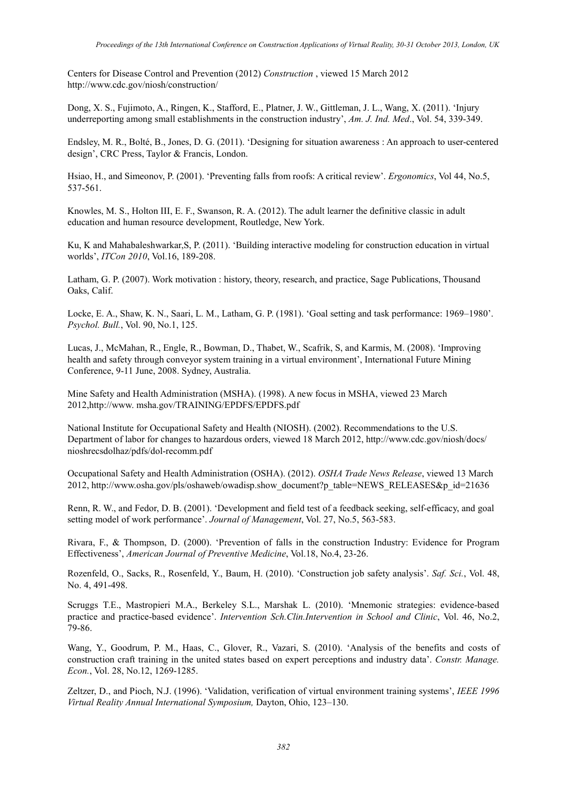Centers for Disease Control and Prevention (2012) *Construction* , viewed 15 March 2012 http://www.cdc.gov/niosh/construction/

Dong, X. S., Fujimoto, A., Ringen, K., Stafford, E., Platner, J. W., Gittleman, J. L., Wang, X. (2011). 'Injury underreporting among small establishments in the construction industry', *Am. J. Ind. Med*., Vol. 54, 339-349.

Endsley, M. R., Bolté, B., Jones, D. G. (2011). 'Designing for situation awareness : An approach to user-centered design', CRC Press, Taylor & Francis, London.

Hsiao, H., and Simeonov, P. (2001). 'Preventing falls from roofs: A critical review'. *Ergonomics*, Vol 44, No.5, 537-561.

Knowles, M. S., Holton III, E. F., Swanson, R. A. (2012). The adult learner the definitive classic in adult education and human resource development, Routledge, New York.

Ku, K and Mahabaleshwarkar,S, P. (2011). 'Building interactive modeling for construction education in virtual worlds', *ITCon 2010*, Vol.16, 189-208.

Latham, G. P. (2007). Work motivation : history, theory, research, and practice, Sage Publications, Thousand Oaks, Calif.

Locke, E. A., Shaw, K. N., Saari, L. M., Latham, G. P. (1981). 'Goal setting and task performance: 1969–1980'. *Psychol. Bull.*, Vol. 90, No.1, 125.

Lucas, J., McMahan, R., Engle, R., Bowman, D., Thabet, W., Scafrik, S, and Karmis, M. (2008). 'Improving health and safety through conveyor system training in a virtual environment', International Future Mining Conference, 9-11 June, 2008. Sydney, Australia.

Mine Safety and Health Administration (MSHA). (1998). A new focus in MSHA, viewed 23 March 2012,http://www. msha.gov/TRAINING/EPDFS/EPDFS.pdf

National Institute for Occupational Safety and Health (NIOSH). (2002). Recommendations to the U.S. Department of labor for changes to hazardous orders, viewed 18 March 2012, http://www.cdc.gov/niosh/docs/ nioshrecsdolhaz/pdfs/dol-recomm.pdf

Occupational Safety and Health Administration (OSHA). (2012). *OSHA Trade News Release*, viewed 13 March 2012, http://www.osha.gov/pls/oshaweb/owadisp.show\_document?p\_table=NEWS\_RELEASES&p\_id=21636

Renn, R. W., and Fedor, D. B. (2001). 'Development and field test of a feedback seeking, self-efficacy, and goal setting model of work performance'. *Journal of Management*, Vol. 27, No.5, 563-583.

Rivara, F., & Thompson, D. (2000). 'Prevention of falls in the construction Industry: Evidence for Program Effectiveness', *American Journal of Preventive Medicine*, Vol.18, No.4, 23-26.

Rozenfeld, O., Sacks, R., Rosenfeld, Y., Baum, H. (2010). 'Construction job safety analysis'. *Saf. Sci.*, Vol. 48, No. 4, 491-498.

Scruggs T.E., Mastropieri M.A., Berkeley S.L., Marshak L. (2010). 'Mnemonic strategies: evidence-based practice and practice-based evidence'. *Intervention Sch.Clin.Intervention in School and Clinic*, Vol. 46, No.2, 79-86.

Wang, Y., Goodrum, P. M., Haas, C., Glover, R., Vazari, S. (2010). 'Analysis of the benefits and costs of construction craft training in the united states based on expert perceptions and industry data'. *Constr. Manage. Econ.*, Vol. 28, No.12, 1269-1285.

Zeltzer, D., and Pioch, N.J. (1996). 'Validation, verification of virtual environment training systems', *IEEE 1996 Virtual Reality Annual International Symposium,* Dayton, Ohio, 123–130.